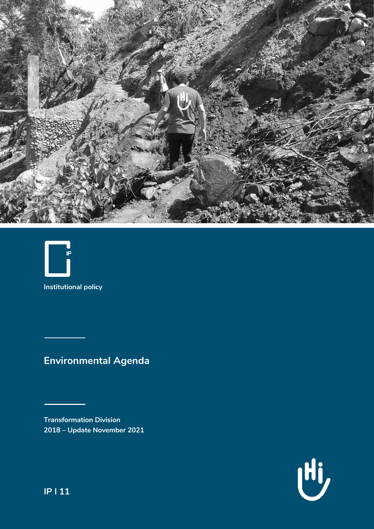



**Institutional policy**

# **Environmental Agenda**

**Transformation Division 2018 – Update November 2021**



**IP l 11**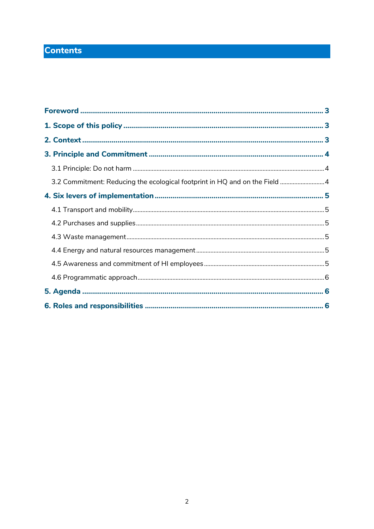## **Contents**

| 3.2 Commitment: Reducing the ecological footprint in HQ and on the Field  4 |  |
|-----------------------------------------------------------------------------|--|
|                                                                             |  |
|                                                                             |  |
|                                                                             |  |
|                                                                             |  |
|                                                                             |  |
|                                                                             |  |
|                                                                             |  |
|                                                                             |  |
|                                                                             |  |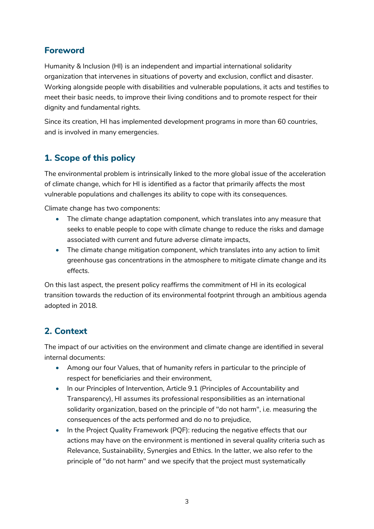## <span id="page-2-0"></span>**Foreword**

Humanity & Inclusion (HI) is an independent and impartial international solidarity organization that intervenes in situations of poverty and exclusion, conflict and disaster. Working alongside people with disabilities and vulnerable populations, it acts and testifies to meet their basic needs, to improve their living conditions and to promote respect for their dignity and fundamental rights.

Since its creation, HI has implemented development programs in more than 60 countries, and is involved in many emergencies.

## <span id="page-2-1"></span>**1. Scope of this policy**

The environmental problem is intrinsically linked to the more global issue of the acceleration of climate change, which for HI is identified as a factor that primarily affects the most vulnerable populations and challenges its ability to cope with its consequences.

Climate change has two components:

- The climate change adaptation component, which translates into any measure that seeks to enable people to cope with climate change to reduce the risks and damage associated with current and future adverse climate impacts,
- The climate change mitigation component, which translates into any action to limit greenhouse gas concentrations in the atmosphere to mitigate climate change and its effects.

On this last aspect, the present policy reaffirms the commitment of HI in its ecological transition towards the reduction of its environmental footprint through an ambitious agenda adopted in 2018.

## <span id="page-2-2"></span>**2. Context**

The impact of our activities on the environment and climate change are identified in several internal documents:

- Among our four Values, that of humanity refers in particular to the principle of respect for beneficiaries and their environment,
- In our Principles of Intervention, Article 9.1 (Principles of Accountability and Transparency), HI assumes its professional responsibilities as an international solidarity organization, based on the principle of "do not harm", i.e. measuring the consequences of the acts performed and do no to prejudice,
- In the Project Quality Framework (PQF): reducing the negative effects that our actions may have on the environment is mentioned in several quality criteria such as Relevance, Sustainability, Synergies and Ethics. In the latter, we also refer to the principle of "do not harm" and we specify that the project must systematically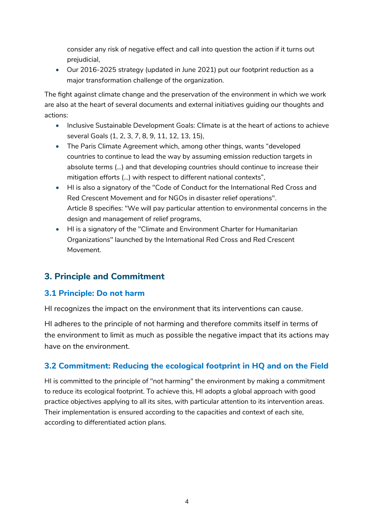consider any risk of negative effect and call into question the action if it turns out prejudicial,

• Our 2016-2025 strategy (updated in June 2021) put our footprint reduction as a major transformation challenge of the organization.

The fight against climate change and the preservation of the environment in which we work are also at the heart of several documents and external initiatives guiding our thoughts and actions:

- Inclusive Sustainable Development Goals: Climate is at the heart of actions to achieve several Goals (1, 2, 3, 7, 8, 9, 11, 12, 13, 15),
- The Paris Climate Agreement which, among other things, wants "developed countries to continue to lead the way by assuming emission reduction targets in absolute terms (...) and that developing countries should continue to increase their mitigation efforts (...) with respect to different national contexts",
- HI is also a signatory of the "Code of Conduct for the International Red Cross and Red Crescent Movement and for NGOs in disaster relief operations". Article 8 specifies: "We will pay particular attention to environmental concerns in the design and management of relief programs,
- HI is a signatory of the "Climate and Environment Charter for Humanitarian Organizations" launched by the International Red Cross and Red Crescent Movement.

## <span id="page-3-0"></span>**3. Principle and Commitment**

#### <span id="page-3-1"></span>**3.1 Principle: Do not harm**

HI recognizes the impact on the environment that its interventions can cause.

HI adheres to the principle of not harming and therefore commits itself in terms of the environment to limit as much as possible the negative impact that its actions may have on the environment.

#### <span id="page-3-2"></span>**3.2 Commitment: Reducing the ecological footprint in HQ and on the Field**

HI is committed to the principle of "not harming" the environment by making a commitment to reduce its ecological footprint. To achieve this, HI adopts a global approach with good practice objectives applying to all its sites, with particular attention to its intervention areas. Their implementation is ensured according to the capacities and context of each site, according to differentiated action plans.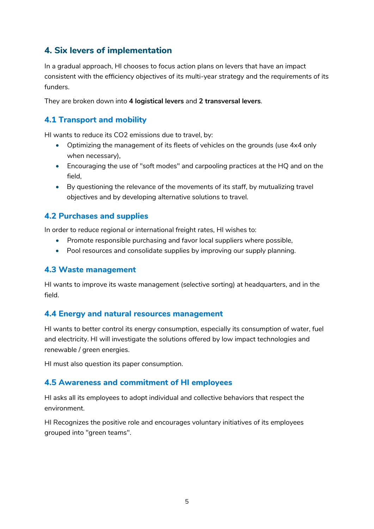## <span id="page-4-0"></span>**4. Six levers of implementation**

In a gradual approach, HI chooses to focus action plans on levers that have an impact consistent with the efficiency objectives of its multi-year strategy and the requirements of its funders.

They are broken down into **4 logistical levers** and **2 transversal levers**.

#### <span id="page-4-1"></span>**4.1 Transport and mobility**

HI wants to reduce its CO2 emissions due to travel, by:

- Optimizing the management of its fleets of vehicles on the grounds (use 4x4 only when necessary),
- Encouraging the use of "soft modes" and carpooling practices at the HQ and on the field,
- By questioning the relevance of the movements of its staff, by mutualizing travel objectives and by developing alternative solutions to travel.

#### <span id="page-4-2"></span>**4.2 Purchases and supplies**

In order to reduce regional or international freight rates, HI wishes to:

- Promote responsible purchasing and favor local suppliers where possible,
- Pool resources and consolidate supplies by improving our supply planning.

#### <span id="page-4-3"></span>**4.3 Waste management**

HI wants to improve its waste management (selective sorting) at headquarters, and in the field.

#### <span id="page-4-4"></span>**4.4 Energy and natural resources management**

HI wants to better control its energy consumption, especially its consumption of water, fuel and electricity. HI will investigate the solutions offered by low impact technologies and renewable / green energies.

HI must also question its paper consumption.

#### <span id="page-4-5"></span>**4.5 Awareness and commitment of HI employees**

HI asks all its employees to adopt individual and collective behaviors that respect the environment.

HI Recognizes the positive role and encourages voluntary initiatives of its employees grouped into "green teams".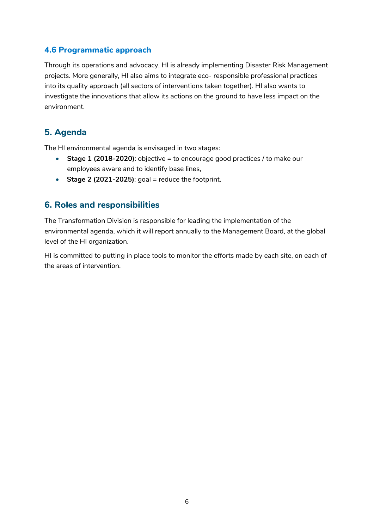#### <span id="page-5-0"></span>**4.6 Programmatic approach**

Through its operations and advocacy, HI is already implementing Disaster Risk Management projects. More generally, HI also aims to integrate eco- responsible professional practices into its quality approach (all sectors of interventions taken together). HI also wants to investigate the innovations that allow its actions on the ground to have less impact on the environment.

## <span id="page-5-1"></span>**5. Agenda**

The HI environmental agenda is envisaged in two stages:

- **Stage 1 (2018-2020)**: objective = to encourage good practices / to make our employees aware and to identify base lines,
- $\bullet$  **Stage 2 (2021-2025)**: goal = reduce the footprint.

### <span id="page-5-2"></span>**6. Roles and responsibilities**

The Transformation Division is responsible for leading the implementation of the environmental agenda, which it will report annually to the Management Board, at the global level of the HI organization.

HI is committed to putting in place tools to monitor the efforts made by each site, on each of the areas of intervention.